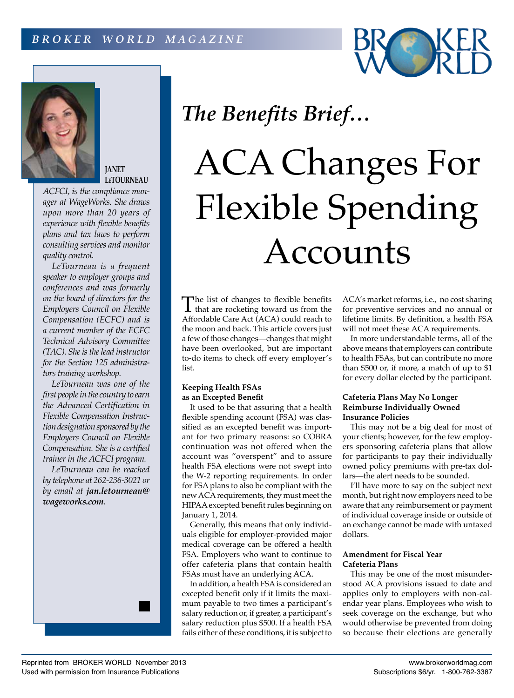



**JANET LeTOURNEAU**

*ACFCI, is the compliance manager at WageWorks. She draws upon more than 20 years of experience with flexible benefits plans and tax laws to perform consulting services and monitor quality control.*

*LeTourneau is a frequent speaker to employer groups and conferences and was formerly on the board of directors for the Employers Council on Flexible Compensation (ECFC) and is a current member of the ECFC Technical Advisory Committee (TAC). She is the lead instructor for the Section 125 administrators training workshop.*

*LeTourneau was one of the first people in the country to earn the Advanced Certification in Flexible Compensation Instruction designation sponsored by the Employers Council on Flexible Compensation. She is a certified trainer in the ACFCI program.*

*LeTourneau can be reached by telephone at 262-236-3021 or by email at jan.letourneau@ wageworks.com.*



# ACA Changes For Flexible Spending Accounts

The list of changes to flexible benefits<br>that are rocketing toward us from the<br>Affordable Care Act (ACA) scald reach to Affordable Care Act (ACA) could reach to the moon and back. This article covers just a few of those changes—changes that might have been overlooked, but are important to-do items to check off every employer's list.

#### **Keeping Health FSAs as an Excepted Benefit**

It used to be that assuring that a health flexible spending account (FSA) was classified as an excepted benefit was important for two primary reasons: so COBRA continuation was not offered when the account was "overspent" and to assure health FSA elections were not swept into the W-2 reporting requirements. In order for FSA plans to also be compliant with the new ACA requirements, they must meet the HIPAA excepted benefit rules beginning on January 1, 2014.

Generally, this means that only individuals eligible for employer-provided major medical coverage can be offered a health FSA. Employers who want to continue to offer cafeteria plans that contain health FSAs must have an underlying ACA.

In addition, a health FSA is considered an excepted benefit only if it limits the maximum payable to two times a participant's salary reduction or, if greater, a participant's salary reduction plus \$500. If a health FSA fails either of these conditions, it is subject to

ACA's market reforms, i.e., no cost sharing for preventive services and no annual or lifetime limits. By definition, a health FSA will not meet these ACA requirements.

In more understandable terms, all of the above means that employers can contribute to health FSAs, but can contribute no more than \$500 or, if more, a match of up to \$1 for every dollar elected by the participant.

# **Cafeteria Plans May No Longer Reimburse Individually Owned Insurance Policies**

This may not be a big deal for most of your clients; however, for the few employers sponsoring cafeteria plans that allow for participants to pay their individually owned policy premiums with pre-tax dollars—the alert needs to be sounded.

I'll have more to say on the subject next month, but right now employers need to be aware that any reimbursement or payment of individual coverage inside or outside of an exchange cannot be made with untaxed dollars.

# **Amendment for Fiscal Year Cafeteria Plans**

This may be one of the most misunderstood ACA provisions issued to date and applies only to employers with non-calendar year plans. Employees who wish to seek coverage on the exchange, but who would otherwise be prevented from doing so because their elections are generally